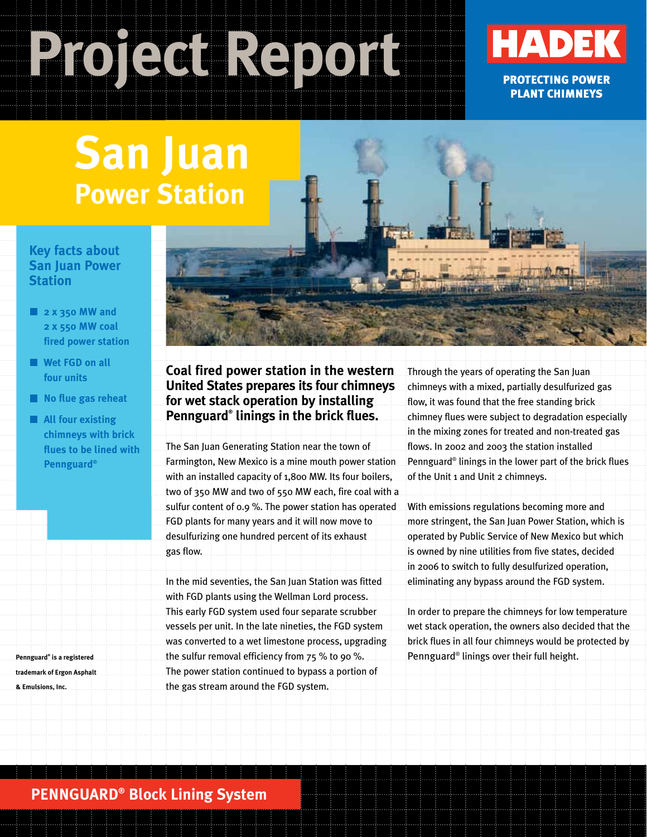# **Project Report**



PROTECTING POWER PLANT CHIMNEYS

# **San Juan Power Station**

#### **Key facts about San Juan Power Station**

- **2 x 350 MW and 2 x 550 MW coal fired power station**
- **Wet FGD on all four units**
- **No flue gas reheat**
- **All four existing chimneys with brick flues to be lined with Pennguard®**

**Pennguard® is a registered trademark of Ergon Asphalt & Emulsions, Inc.**

#### **Coal fired power station in the western United States prepares its four chimneys for wet stack operation by installing Pennguard® linings in the brick flues.**

The San Juan Generating Station near the town of Farmington, New Mexico is a mine mouth power station with an installed capacity of 1,800 MW. Its four boilers, two of 350 MW and two of 550 MW each, fire coal with a sulfur content of 0.9 %. The power station has operated FGD plants for many years and it will now move to desulfurizing one hundred percent of its exhaust gas flow.

In the mid seventies, the San Juan Station was fitted with FGD plants using the Wellman Lord process. This early FGD system used four separate scrubber vessels per unit. In the late nineties, the FGD system was converted to a wet limestone process, upgrading the sulfur removal efficiency from 75 % to 90 %. The power station continued to bypass a portion of the gas stream around the FGD system.

Through the years of operating the San Juan chimneys with a mixed, partially desulfurized gas flow, it was found that the free standing brick chimney flues were subject to degradation especially in the mixing zones for treated and non-treated gas flows. In 2002 and 2003 the station installed Pennguard® linings in the lower part of the brick flues of the Unit 1 and Unit 2 chimneys.

With emissions regulations becoming more and more stringent, the San Juan Power Station, which is operated by Public Service of New Mexico but which is owned by nine utilities from five states, decided in 2006 to switch to fully desulfurized operation, eliminating any bypass around the FGD system.

In order to prepare the chimneys for low temperature wet stack operation, the owners also decided that the brick flues in all four chimneys would be protected by Pennguard® linings over their full height.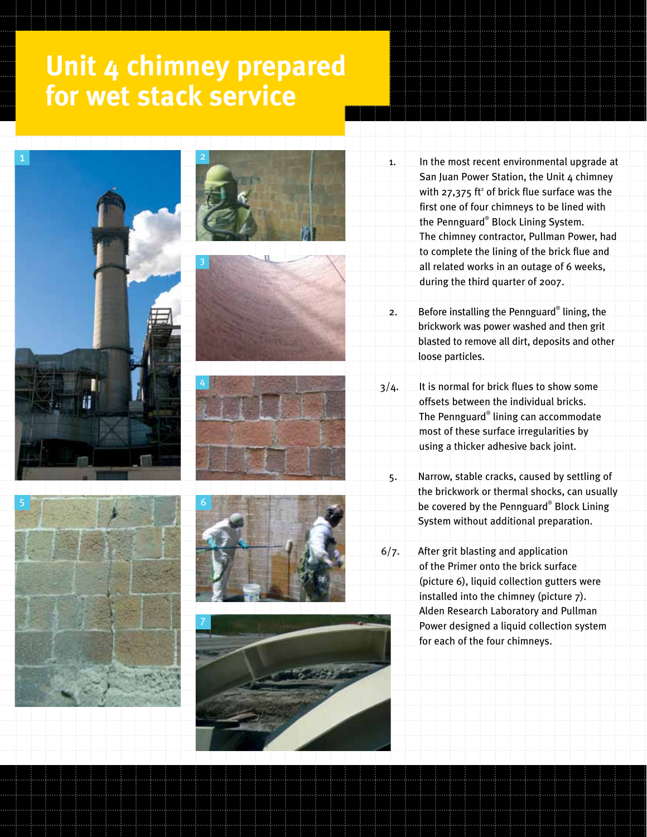### **Unit 4 chimney prepared for wet stack service**















- 1. In the most recent environmental upgrade at San Juan Power Station, the Unit 4 chimney with 27,375 ft<sup>2</sup> of brick flue surface was the first one of four chimneys to be lined with the Pennguard® Block Lining System. The chimney contractor, Pullman Power, had to complete the lining of the brick flue and all related works in an outage of 6 weeks, during the third quarter of 2007.
- 2. Before installing the Pennguard® lining, the brickwork was power washed and then grit blasted to remove all dirt, deposits and other loose particles.
- 3/4. It is normal for brick flues to show some offsets between the individual bricks. The Pennguard® lining can accommodate most of these surface irregularities by using a thicker adhesive back joint.
	- 5. Narrow, stable cracks, caused by settling of the brickwork or thermal shocks, can usually be covered by the Pennguard® Block Lining System without additional preparation.
- 6/7. After grit blasting and application of the Primer onto the brick surface (picture 6), liquid collection gutters were installed into the chimney (picture 7). Alden Research Laboratory and Pullman Power designed a liquid collection system for each of the four chimneys.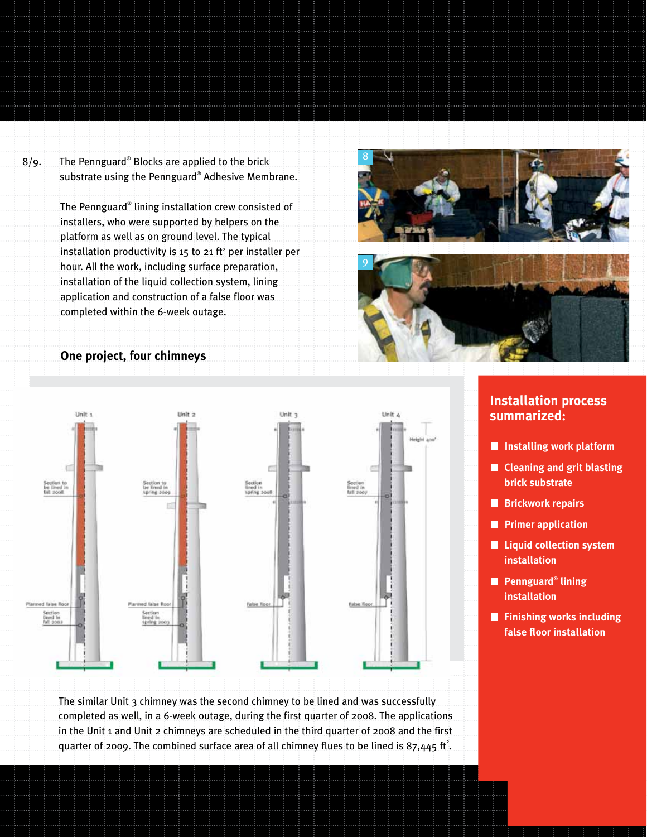8/9. The Pennguard® Blocks are applied to the brick substrate using the Pennguard® Adhesive Membrane.

> The Pennguard® lining installation crew consisted of installers, who were supported by helpers on the platform as well as on ground level. The typical installation productivity is 15 to 21  $ft<sup>2</sup>$  per installer per hour. All the work, including surface preparation, installation of the liquid collection system, lining application and construction of a false floor was completed within the 6-week outage.







#### **Installation process summarized:**

- **Installing work platform**
- **E** Cleaning and grit blasting **brick substrate**
- **Brickwork repairs**
- **Primer application**
- **Liquid collection system installation**
- **Pennguard® lining installation**
- **Finishing works including false floor installation**

The similar Unit 3 chimney was the second chimney to be lined and was successfully completed as well, in a 6-week outage, during the first quarter of 2008. The applications in the Unit 1 and Unit 2 chimneys are scheduled in the third quarter of 2008 and the first quarter of 2009. The combined surface area of all chimney flues to be lined is 87,445 ft<sup>2</sup>.